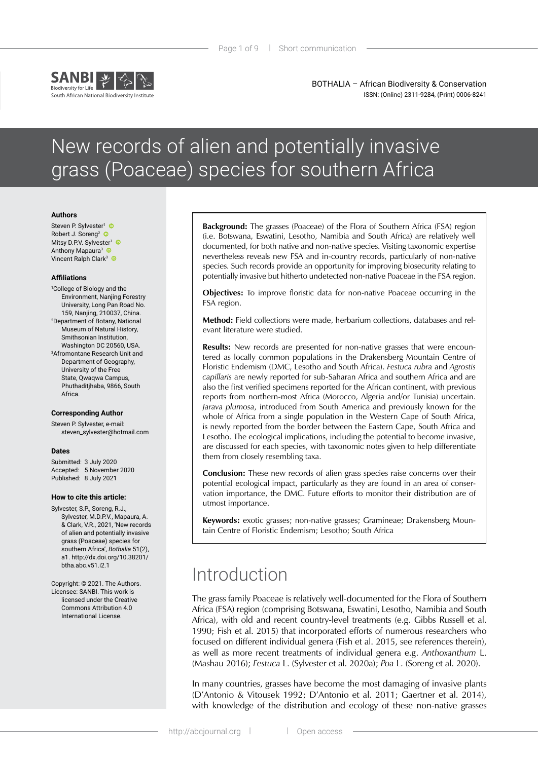

BOTHALIA – African Biodiversity & Conservation ISSN: (Online) 2311-9284, (Print) 0006-8241

# New records of alien and potentially invasive grass (Poaceae) species for southern Africa

### **Authors**

Steven P. Sylvester<sup>1</sup> Robert J. Soreng<sup>2</sup> Mitsy D.P.V. Sylvester<sup>1</sup> Anthony Mapaura<sup>3</sup> Vincent Ralph Clark<sup>3</sup>

#### **Affiliations**

1 College of Biology and the Environment, Nanjing Forestry University, Long Pan Road No. 159, Nanjing, 210037, China. 2 Department of Botany, National Museum of Natural History, Smithsonian Institution, Washington DC 20560, USA. 3 Afromontane Research Unit and Department of Geography, University of the Free State, Qwaqwa Campus, Phuthaditjhaba, 9866, South Africa.

### **Corresponding Author**

Steven P. Sylvester, e-mail: [steven\\_sylvester@hotmail.com](mailto:steven_sylvester@hotmail.com)

### **Dates**

Submitted: 3 July 2020 Accepted: 5 November 2020 Published: 8 July 2021

#### **How to cite this article:**

Sylvester, S.P., Soreng, R.J., Sylvester, M.D.P.V., Mapaura, A. & Clark, V.R., 2021, 'New records of alien and potentially invasive grass (Poaceae) species for southern Africa', *Bothalia* 51(2), a1. [http://dx.doi.org/10.38201/](http://dx.doi.org/10.38201/btha.abc.v51.i2) [btha.abc.v51.i2.](http://dx.doi.org/10.38201/btha.abc.v51.i2)1

Copyright: © 2021. The Authors. Licensee: SANBI. This work is licensed under the Creative Commons Attribution 4.0 International License.

**Background:** The grasses (Poaceae) of the Flora of Southern Africa (FSA) region (i.e. Botswana, Eswatini, Lesotho, Namibia and South Africa) are relatively well documented, for both native and non-native species. Visiting taxonomic expertise nevertheless reveals new FSA and in-country records, particularly of non-native species. Such records provide an opportunity for improving biosecurity relating to potentially invasive but hitherto undetected non-native Poaceae in the FSA region.

**Objectives:** To improve floristic data for non-native Poaceae occurring in the FSA region.

**Method:** Field collections were made, herbarium collections, databases and relevant literature were studied.

**Results:** New records are presented for non-native grasses that were encountered as locally common populations in the Drakensberg Mountain Centre of Floristic Endemism (DMC, Lesotho and South Africa). *Festuca rubra* and *Agrostis capillaris* are newly reported for sub-Saharan Africa and southern Africa and are also the first verified specimens reported for the African continent, with previous reports from northern-most Africa (Morocco, Algeria and/or Tunisia) uncertain. *Jarava plumosa*, introduced from South America and previously known for the whole of Africa from a single population in the Western Cape of South Africa, is newly reported from the border between the Eastern Cape, South Africa and Lesotho. The ecological implications, including the potential to become invasive, are discussed for each species, with taxonomic notes given to help differentiate them from closely resembling taxa.

**Conclusion:** These new records of alien grass species raise concerns over their potential ecological impact, particularly as they are found in an area of conservation importance, the DMC. Future efforts to monitor their distribution are of utmost importance.

**Keywords:** exotic grasses; non-native grasses; Gramineae; Drakensberg Mountain Centre of Floristic Endemism; Lesotho; South Africa

# Introduction

The grass family Poaceae is relatively well-documented for the Flora of Southern Africa (FSA) region (comprising Botswana, Eswatini, Lesotho, Namibia and South Africa), with old and recent country-level treatments (e.g. Gibbs Russell et al. 1990; Fish et al. 2015) that incorporated efforts of numerous researchers who focused on different individual genera (Fish et al. 2015, see references therein), as well as more recent treatments of individual genera e.g. *Anthoxanthum* L. (Mashau 2016); *Festuca* L. (Sylvester et al. 2020a); *Poa* L. (Soreng et al. 2020).

In many countries, grasses have become the most damaging of invasive plants (D'Antonio & Vitousek 1992; D'Antonio et al. 2011; Gaertner et al. 2014), with knowledge of the distribution and ecology of these non-native grasses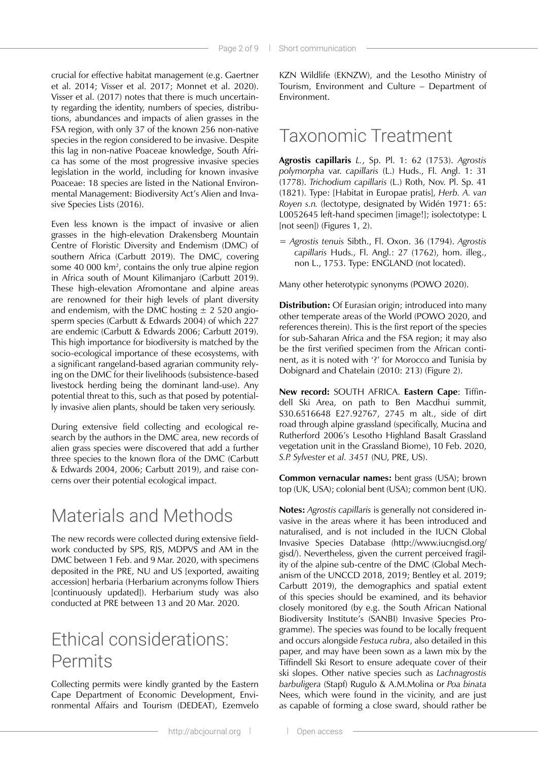crucial for effective habitat management (e.g. Gaertner et al. 2014; Visser et al. 2017; Monnet et al. 2020). Visser et al. (2017) notes that there is much uncertainty regarding the identity, numbers of species, distributions, abundances and impacts of alien grasses in the FSA region, with only 37 of the known 256 non-native species in the region considered to be invasive. Despite this lag in non-native Poaceae knowledge, South Africa has some of the most progressive invasive species legislation in the world, including for known invasive Poaceae: 18 species are listed in the National Environmental Management: Biodiversity Act's Alien and Invasive Species Lists (2016).

Even less known is the impact of invasive or alien grasses in the high-elevation Drakensberg Mountain Centre of Floristic Diversity and Endemism (DMC) of southern Africa (Carbutt 2019). The DMC, covering some 40 000 km2 , contains the only true alpine region in Africa south of Mount Kilimanjaro (Carbutt 2019). These high-elevation Afromontane and alpine areas are renowned for their high levels of plant diversity and endemism, with the DMC hosting  $\pm$  2 520 angiosperm species (Carbutt & Edwards 2004) of which 227 are endemic (Carbutt & Edwards 2006; Carbutt 2019). This high importance for biodiversity is matched by the socio-ecological importance of these ecosystems, with a significant rangeland-based agrarian community relying on the DMC for their livelihoods (subsistence-based livestock herding being the dominant land-use). Any potential threat to this, such as that posed by potentially invasive alien plants, should be taken very seriously.

During extensive field collecting and ecological research by the authors in the DMC area, new records of alien grass species were discovered that add a further three species to the known flora of the DMC (Carbutt & Edwards 2004, 2006; Carbutt 2019), and raise concerns over their potential ecological impact.

### Materials and Methods

The new records were collected during extensive fieldwork conducted by SPS, RJS, MDPVS and AM in the DMC between 1 Feb. and 9 Mar. 2020, with specimens deposited in the PRE, NU and US [exported, awaiting accession] herbaria (Herbarium acronyms follow Thiers [continuously updated]). Herbarium study was also conducted at PRE between 13 and 20 Mar. 2020.

# Ethical considerations: Permits

Collecting permits were kindly granted by the Eastern Cape Department of Economic Development, Environmental Affairs and Tourism (DEDEAT), Ezemvelo

KZN Wildlife (EKNZW), and the Lesotho Ministry of Tourism, Environment and Culture – Department of Environment.

### Taxonomic Treatment

**Agrostis capillaris** *L.*, Sp. Pl. 1: 62 (1753). *Agrostis polymorpha* var. *capillaris* (L.) Huds., Fl. Angl. 1: 31 (1778). *Trichodium capillaris* (L.) Roth, Nov. Pl. Sp. 41 (1821). Type: [Habitat in Europae pratis], *Herb. A. van Royen s.n.* (lectotype, designated by Widén 1971: 65: L0052645 left-hand specimen [image!]; isolectotype: L [not seen]) (Figures 1, 2).

= *Agrostis tenuis* Sibth., Fl. Oxon. 36 (1794). *Agrostis capillaris* Huds., Fl. Angl.: 27 (1762), hom. illeg., non L., 1753. Type: ENGLAND (not located).

Many other heterotypic synonyms (POWO 2020).

**Distribution:** Of Eurasian origin; introduced into many other temperate areas of the World (POWO 2020, and references therein). This is the first report of the species for sub-Saharan Africa and the FSA region; it may also be the first verified specimen from the African continent, as it is noted with '?' for Morocco and Tunisia by Dobignard and Chatelain (2010: 213) (Figure 2).

**New record:** SOUTH AFRICA. **Eastern Cape**: Tiffindell Ski Area, on path to Ben Macdhui summit, S30.6516648 E27.92767, 2745 m alt., side of dirt road through alpine grassland (specifically, Mucina and Rutherford 2006's Lesotho Highland Basalt Grassland vegetation unit in the Grassland Biome), 10 Feb. 2020, *S.P. Sylvester et al. 3451* (NU, PRE, US).

**Common vernacular names:** bent grass (USA); brown top (UK, USA); colonial bent (USA); common bent (UK).

**Notes:** *Agrostis capillaris* is generally not considered invasive in the areas where it has been introduced and naturalised, and is not included in the IUCN Global Invasive Species Database ([http://www.iucngisd.org/](http://www.iucngisd.org/gisd) [gisd](http://www.iucngisd.org/gisd)/). Nevertheless, given the current perceived fragility of the alpine sub-centre of the DMC (Global Mechanism of the UNCCD 2018, 2019; Bentley et al. 2019; Carbutt 2019), the demographics and spatial extent of this species should be examined, and its behavior closely monitored (by e.g. the South African National Biodiversity Institute's (SANBI) Invasive Species Programme). The species was found to be locally frequent and occurs alongside *Festuca rubra*, also detailed in this paper, and may have been sown as a lawn mix by the Tiffindell Ski Resort to ensure adequate cover of their ski slopes. Other native species such as *Lachnagrostis barbuligera* (Stapf) Rugulo & A.M.Molina or *Poa binata* Nees, which were found in the vicinity, and are just as capable of forming a close sward, should rather be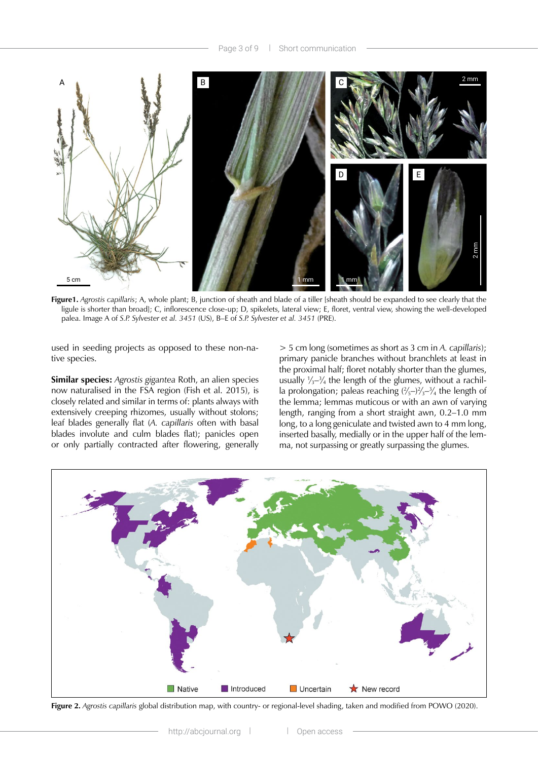

**Figure1.** *Agrostis capillaris*; A, whole plant; B, junction of sheath and blade of a tiller [sheath should be expanded to see clearly that the ligule is shorter than broad]; C, inflorescence close-up; D, spikelets, lateral view; E, floret, ventral view, showing the well-developed palea. Image A of *S.P. Sylvester et al. 3451* (US), B–E of *S.P. Sylvester et al. 3451* (PRE).

used in seeding projects as opposed to these non-native species.

**Similar species:** *Agrostis gigantea* Roth, an alien species now naturalised in the FSA region (Fish et al. 2015), is closely related and similar in terms of: plants always with extensively creeping rhizomes, usually without stolons; leaf blades generally flat (*A. capillaris* often with basal blades involute and culm blades flat); panicles open or only partially contracted after flowering, generally

> 5 cm long (sometimes as short as 3 cm in *A. capillaris*); primary panicle branches without branchlets at least in the proximal half; floret notably shorter than the glumes, usually  $\frac{1}{3}$ – $\frac{3}{4}$  the length of the glumes, without a rachilla prolongation; paleas reaching  $(\frac{2}{5}-\frac{2}{3}-\frac{3}{4})$  the length of the lemma; lemmas muticous or with an awn of varying length, ranging from a short straight awn, 0.2–1.0 mm long, to a long geniculate and twisted awn to 4 mm long, inserted basally, medially or in the upper half of the lemma, not surpassing or greatly surpassing the glumes.



**Figure 2.** *Agrostis capillaris* global distribution map, with country- or regional-level shading, taken and modified from POWO (2020).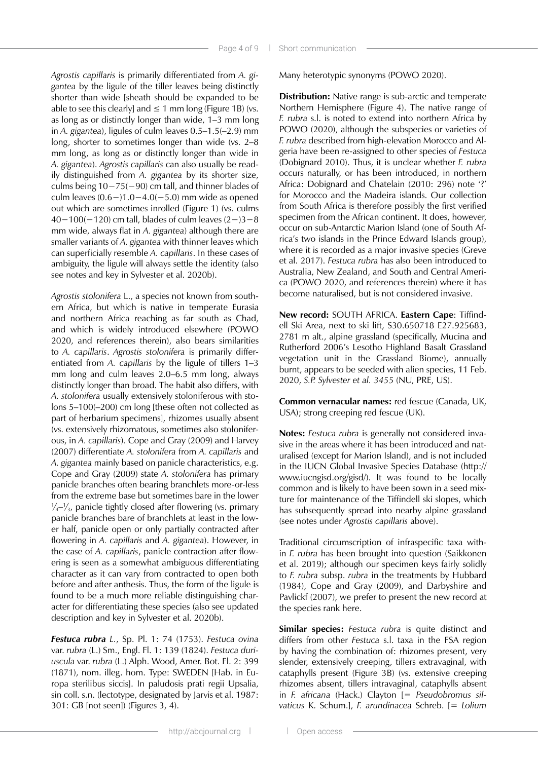*Agrostis capillaris* is primarily differentiated from *A. gigantea* by the ligule of the tiller leaves being distinctly shorter than wide [sheath should be expanded to be able to see this clearly] and  $\leq 1$  mm long (Figure 1B) (vs. as long as or distinctly longer than wide, 1–3 mm long in *A. gigantea*), ligules of culm leaves 0.5–1.5(–2.9) mm long, shorter to sometimes longer than wide (vs. 2–8 mm long, as long as or distinctly longer than wide in *A. gigantea*). *Agrostis capillaris* can also usually be readily distinguished from *A. gigantea* by its shorter size, culms being 10−75(−90) cm tall, and thinner blades of culm leaves (0.6−)1.0−4.0(−5.0) mm wide as opened out which are sometimes inrolled (Figure 1) (vs. culms 40−100(−120) cm tall, blades of culm leaves (2−)3−8 mm wide, always flat in *A. gigantea*) although there are smaller variants of *A. gigantea* with thinner leaves which can superficially resemble *A. capillaris*. In these cases of ambiguity, the ligule will always settle the identity (also see notes and key in Sylvester et al. 2020b).

*Agrostis stolonifera* L., a species not known from southern Africa, but which is native in temperate Eurasia and northern Africa reaching as far south as Chad, and which is widely introduced elsewhere (POWO 2020, and references therein), also bears similarities to *A. capillaris*. *Agrostis stolonifera* is primarily differentiated from *A. capillaris* by the ligule of tillers 1–3 mm long and culm leaves 2.0–6.5 mm long, always distinctly longer than broad. The habit also differs, with *A. stolonifera* usually extensively stoloniferous with stolons 5–100(–200) cm long [these often not collected as part of herbarium specimens], rhizomes usually absent (vs. extensively rhizomatous, sometimes also stoloniferous, in *A. capillaris*). Cope and Gray (2009) and Harvey (2007) differentiate *A. stolonifera* from *A. capillaris* and *A. gigantea* mainly based on panicle characteristics, e.g. Cope and Gray (2009) state *A. stolonifera* has primary panicle branches often bearing branchlets more-or-less from the extreme base but sometimes bare in the lower 1 ∕4–1 ∕3, panicle tightly closed after flowering (vs. primary panicle branches bare of branchlets at least in the lower half, panicle open or only partially contracted after flowering in *A. capillaris* and *A. gigantea*). However, in the case of *A. capillaris*, panicle contraction after flowering is seen as a somewhat ambiguous differentiating character as it can vary from contracted to open both before and after anthesis. Thus, the form of the ligule is found to be a much more reliable distinguishing character for differentiating these species (also see updated description and key in Sylvester et al. 2020b).

*Festuca rubra L.*, Sp. Pl. 1: 74 (1753). *Festuca ovina* var. *rubra* (L.) Sm., Engl. Fl. 1: 139 (1824). *Festuca duriuscula* var. *rubra* (L.) Alph. Wood, Amer. Bot. Fl. 2: 399 (1871), nom. illeg. hom. Type: SWEDEN [Hab. in Europa sterilibus siccis]. In paludosis prati regii Upsalia, sin coll. s.n. (lectotype, designated by Jarvis et al. 1987: 301: GB [not seen]) (Figures 3, 4).

Many heterotypic synonyms (POWO 2020).

**Distribution:** Native range is sub-arctic and temperate Northern Hemisphere (Figure 4). The native range of *F. rubra* s.l. is noted to extend into northern Africa by POWO (2020), although the subspecies or varieties of *F. rubra* described from high-elevation Morocco and Algeria have been re-assigned to other species of *Festuca* (Dobignard 2010). Thus, it is unclear whether *F. rubra*  occurs naturally, or has been introduced, in northern Africa: Dobignard and Chatelain (2010: 296) note '?' for Morocco and the Madeira islands. Our collection from South Africa is therefore possibly the first verified specimen from the African continent. It does, however, occur on sub-Antarctic Marion Island (one of South Africa's two islands in the Prince Edward Islands group), where it is recorded as a major invasive species (Greve et al. 2017). *Festuca rubra* has also been introduced to Australia, New Zealand, and South and Central America (POWO 2020, and references therein) where it has become naturalised, but is not considered invasive.

**New record:** SOUTH AFRICA. **Eastern Cape**: Tiffindell Ski Area, next to ski lift, S30.650718 E27.925683, 2781 m alt., alpine grassland (specifically, Mucina and Rutherford 2006's Lesotho Highland Basalt Grassland vegetation unit in the Grassland Biome), annually burnt, appears to be seeded with alien species, 11 Feb. 2020, *S.P. Sylvester et al. 3455* (NU, PRE, US).

**Common vernacular names:** red fescue (Canada, UK, USA); strong creeping red fescue (UK).

**Notes:** *Festuca rubra* is generally not considered invasive in the areas where it has been introduced and naturalised (except for Marion Island), and is not included in the IUCN Global Invasive Species Database ([http://](http://www.iucngisd.org/gisd) [www.iucngisd.org/gisd](http://www.iucngisd.org/gisd)/). It was found to be locally common and is likely to have been sown in a seed mixture for maintenance of the Tiffindell ski slopes, which has subsequently spread into nearby alpine grassland (see notes under *Agrostis capillaris* above).

Traditional circumscription of infraspecific taxa within *F. rubra* has been brought into question (Saikkonen et al. 2019); although our specimen keys fairly solidly to *F. rubra* subsp. *rubra* in the treatments by Hubbard (1984), Cope and Gray (2009), and Darbyshire and Pavlickf (2007), we prefer to present the new record at the species rank here.

**Similar species:** *Festuca rubra* is quite distinct and differs from other *Festuca* s.l. taxa in the FSA region by having the combination of: rhizomes present, very slender, extensively creeping, tillers extravaginal, with cataphylls present (Figure 3B) (vs. extensive creeping rhizomes absent, tillers intravaginal, cataphylls absent in *F. africana* (Hack.) Clayton [= *Pseudobromus silvaticus* K. Schum.], *F. arundinacea* Schreb. [= *Lolium*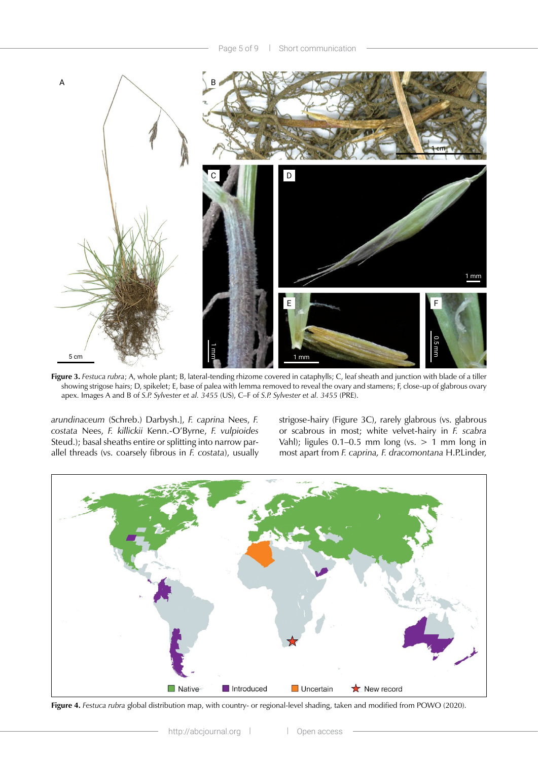

**Figure 3.** *Festuca rubra*; A, whole plant; B, lateral-tending rhizome covered in cataphylls; C, leaf sheath and junction with blade of a tiller showing strigose hairs; D, spikelet; E, base of palea with lemma removed to reveal the ovary and stamens; F, close-up of glabrous ovary apex. Images A and B of *S.P. Sylvester et al. 3455* (US), C–F of *S.P. Sylvester et al. 3455* (PRE).

*arundinaceum* (Schreb.) Darbysh.], *F. caprina* Nees, *F. costata* Nees, *F. killickii* Kenn.-O'Byrne, *F. vulpioides* Steud.); basal sheaths entire or splitting into narrow parallel threads (vs. coarsely fibrous in *F. costata*), usually strigose-hairy (Figure 3C), rarely glabrous (vs. glabrous or scabrous in most; white velvet-hairy in *F. scabra* Vahl); ligules 0.1–0.5 mm long (vs.  $> 1$  mm long in most apart from *F. caprina, F. dracomontana* H.P.Linder,



**Figure 4.** *Festuca rubra* global distribution map, with country- or regional-level shading, taken and modified from POWO (2020).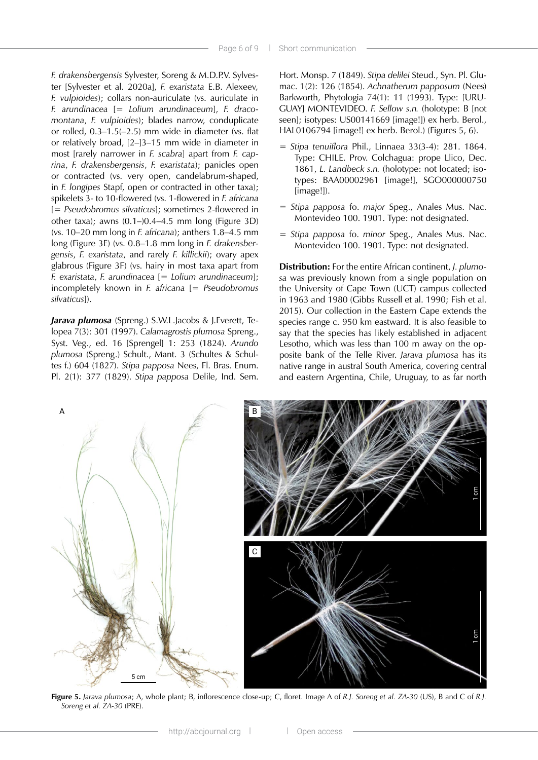*F. drakensbergensis* Sylvester, Soreng & M.D.P.V. Sylvester [Sylvester et al. 2020a], *F. exaristata* E.B. Alexeev*, F. vulpioides*); collars non-auriculate (vs. auriculate in *F. arundinacea* [= *Lolium arundinaceum*], *F. dracomontana*, *F. vulpioides*); blades narrow, conduplicate or rolled, 0.3–1.5(–2.5) mm wide in diameter (vs. flat or relatively broad, [2–]3–15 mm wide in diameter in most [rarely narrower in *F. scabra*] apart from *F. caprina*, *F. drakensbergensis*, *F. exaristata*); panicles open or contracted (vs. very open, candelabrum-shaped, in *F. longipes* Stapf, open or contracted in other taxa); spikelets 3- to 10-flowered (vs. 1-flowered in *F. africana* [= *Pseudobromus silvaticus*]; sometimes 2-flowered in other taxa); awns (0.1–)0.4–4.5 mm long (Figure 3D) (vs. 10–20 mm long in *F. africana*); anthers 1.8–4.5 mm long (Figure 3E) (vs. 0.8–1.8 mm long in *F. drakensbergensis*, *F. exaristata*, and rarely *F. killickii*); ovary apex glabrous (Figure 3F) (vs. hairy in most taxa apart from *F. exaristata*, *F. arundinacea* [= *Lolium arundinaceum*]; incompletely known in *F. africana* [= *Pseudobromus silvaticus*]).

*Jarava plumosa* (Spreng.) S.W.L.Jacobs & J.Everett, Telopea 7(3): 301 (1997). *Calamagrostis plumosa* Spreng., Syst. Veg., ed. 16 [Sprengel] 1: 253 (1824). *Arundo plumosa* (Spreng.) Schult., Mant. 3 (Schultes & Schultes f.) 604 (1827). *Stipa papposa* Nees, Fl. Bras. Enum. Pl. 2(1): 377 (1829). *Stipa papposa* Delile, Ind. Sem.

Hort. Monsp. 7 (1849). *Stipa delilei* Steud., Syn. Pl. Glumac. 1(2): 126 (1854). *Achnatherum papposum* (Nees) Barkworth, Phytologia 74(1): 11 (1993). Type: [URU-GUAY] MONTEVIDEO. *F. Sellow s.n.* (holotype: B [not seen]; isotypes: US00141669 [image!]) ex herb. Berol., HAL0106794 [image!] ex herb. Berol.) (Figures 5, 6).

- = *Stipa tenuiflora* Phil., Linnaea 33(3-4): 281. 1864. Type: CHILE. Prov. Colchagua: prope Llico, Dec. 1861, *L. Landbeck s.n.* (holotype: not located; isotypes: BAA00002961 [image!], SGO000000750 [image!]).
- = *Stipa papposa* fo. *major* Speg., Anales Mus. Nac. Montevideo 100. 1901. Type: not designated.
- = *Stipa papposa* fo. *minor* Speg., Anales Mus. Nac. Montevideo 100. 1901. Type: not designated.

**Distribution:** For the entire African continent, *J. plumosa* was previously known from a single population on the University of Cape Town (UCT) campus collected in 1963 and 1980 (Gibbs Russell et al. 1990; Fish et al. 2015). Our collection in the Eastern Cape extends the species range c. 950 km eastward. It is also feasible to say that the species has likely established in adjacent Lesotho, which was less than 100 m away on the opposite bank of the Telle River. *Jarava plumosa* has its native range in austral South America, covering central and eastern Argentina, Chile, Uruguay, to as far north



**Figure 5.** *Jarava plumosa*; A, whole plant; B, inflorescence close-up; C, floret. Image A of *R.J. Soreng et al. ZA-30* (US), B and C of *R.J. Soreng et al. ZA-30* (PRE).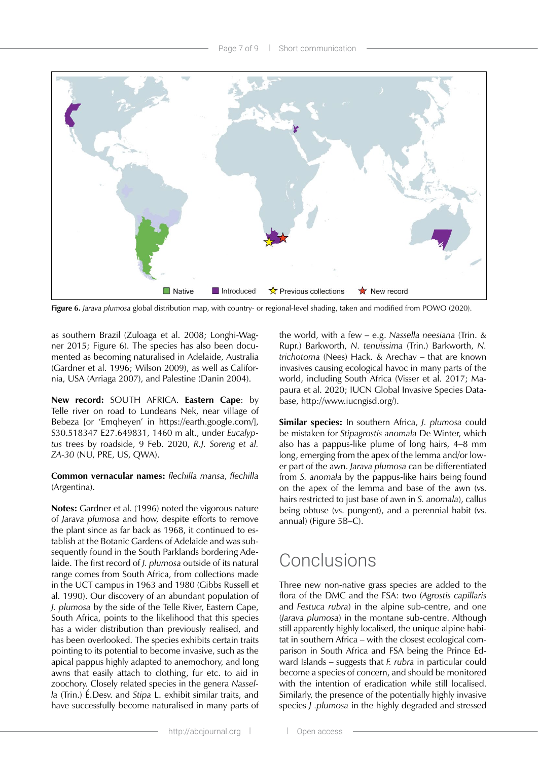

**Figure 6.** *Jarava plumosa* global distribution map, with country- or regional-level shading, taken and modified from POWO (2020).

as southern Brazil (Zuloaga et al. 2008; Longhi-Wagner 2015; Figure 6). The species has also been documented as becoming naturalised in Adelaide, Australia (Gardner et al. 1996; Wilson 2009), as well as California, USA (Arriaga 2007), and Palestine (Danin 2004).

**New record:** SOUTH AFRICA. **Eastern Cape**: by Telle river on road to Lundeans Nek, near village of Bebeza [or 'Emqheyen' in <https://earth.google.com>/], S30.518347 E27.649831, 1460 m alt., under *Eucalyptus* trees by roadside, 9 Feb. 2020, *R.J. Soreng et al. ZA-30* (NU, PRE, US, QWA).

### **Common vernacular names:** *flechilla mansa*, *flechilla* (Argentina).

**Notes:** Gardner et al. (1996) noted the vigorous nature of *Jarava plumosa* and how, despite efforts to remove the plant since as far back as 1968, it continued to establish at the Botanic Gardens of Adelaide and was subsequently found in the South Parklands bordering Adelaide. The first record of *J. plumosa* outside of its natural range comes from South Africa, from collections made in the UCT campus in 1963 and 1980 (Gibbs Russell et al. 1990). Our discovery of an abundant population of *J. plumosa* by the side of the Telle River, Eastern Cape, South Africa, points to the likelihood that this species has a wider distribution than previously realised, and has been overlooked. The species exhibits certain traits pointing to its potential to become invasive, such as the apical pappus highly adapted to anemochory, and long awns that easily attach to clothing, fur etc. to aid in zoochory. Closely related species in the genera *Nassella* (Trin.) É.Desv. and *Stipa* L. exhibit similar traits, and have successfully become naturalised in many parts of

the world, with a few – e.g. *Nassella neesiana* (Trin. & Rupr.) Barkworth, *N. tenuissima* (Trin.) Barkworth, *N. trichotoma* (Nees) Hack. & Arechav – that are known invasives causing ecological havoc in many parts of the world, including South Africa (Visser et al. 2017; Mapaura et al. 2020; IUCN Global Invasive Species Database,<http://www.iucngisd.org>/).

**Similar species:** In southern Africa, *J. plumosa* could be mistaken for *Stipagrostis anomala* De Winter, which also has a pappus-like plume of long hairs, 4–8 mm long, emerging from the apex of the lemma and/or lower part of the awn. *Jarava plumosa* can be differentiated from *S. anomala* by the pappus-like hairs being found on the apex of the lemma and base of the awn (vs. hairs restricted to just base of awn in *S. anomala*), callus being obtuse (vs. pungent), and a perennial habit (vs. annual) (Figure 5B–C).

# **Conclusions**

Three new non-native grass species are added to the flora of the DMC and the FSA: two (*Agrostis capillaris* and *Festuca rubra*) in the alpine sub-centre, and one (*Jarava plumosa*) in the montane sub-centre. Although still apparently highly localised, the unique alpine habitat in southern Africa – with the closest ecological comparison in South Africa and FSA being the Prince Edward Islands – suggests that *F. rubra* in particular could become a species of concern, and should be monitored with the intention of eradication while still localised. Similarly, the presence of the potentially highly invasive species *J .plumosa* in the highly degraded and stressed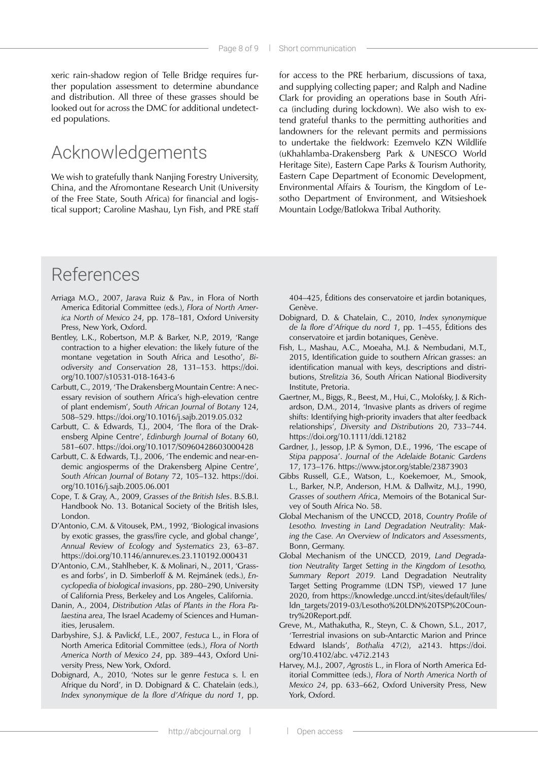xeric rain-shadow region of Telle Bridge requires further population assessment to determine abundance and distribution. All three of these grasses should be looked out for across the DMC for additional undetected populations.

## Acknowledgements

We wish to gratefully thank Nanjing Forestry University, China, and the Afromontane Research Unit (University of the Free State, South Africa) for financial and logistical support; Caroline Mashau, Lyn Fish, and PRE staff

for access to the PRE herbarium, discussions of taxa, and supplying collecting paper; and Ralph and Nadine Clark for providing an operations base in South Africa (including during lockdown). We also wish to extend grateful thanks to the permitting authorities and landowners for the relevant permits and permissions to undertake the fieldwork: Ezemvelo KZN Wildlife (uKhahlamba-Drakensberg Park & UNESCO World Heritage Site), Eastern Cape Parks & Tourism Authority, Eastern Cape Department of Economic Development, Environmental Affairs & Tourism, the Kingdom of Lesotho Department of Environment, and Witsieshoek Mountain Lodge/Batlokwa Tribal Authority.

# References

- Arriaga M.O., 2007, *Jarava* Ruiz & Pav., in Flora of North America Editorial Committee (eds.), *Flora of North America North of Mexico 24*, pp. 178–181, Oxford University Press, New York, Oxford.
- Bentley, L.K., Robertson, M.P. & Barker, N.P., 2019, 'Range contraction to a higher elevation: the likely future of the montane vegetation in South Africa and Lesotho', *Biodiversity and Conservation* 28, 131–153. [https://doi.](https://doi.org/10.1007/s10531) [org/10.1007/s10531](https://doi.org/10.1007/s10531)-018-1643-6
- Carbutt, C., 2019, 'The Drakensberg Mountain Centre: A necessary revision of southern Africa's high-elevation centre of plant endemism', *South African Journal of Botany* 124, 508–529.<https://doi.org/10.1016/j.sajb.2019.05.032>
- Carbutt, C. & Edwards, T.J., 2004, 'The flora of the Drakensberg Alpine Centre', *Edinburgh Journal of Botany* 60, 581–607.<https://doi.org/10.1017/S0960428603000428>
- Carbutt, C. & Edwards, T.J., 2006, 'The endemic and near-endemic angiosperms of the Drakensberg Alpine Centre', *South African Journal of Botany* 72, 105–132. [https://doi.](https://doi.org/10.1016/j.sajb.2005.06.001) [org/10.1016/j.sajb.2005.06.001](https://doi.org/10.1016/j.sajb.2005.06.001)
- Cope, T. & Gray, A., 2009, *Grasses of the British Isles*. B.S.B.I. Handbook No. 13. Botanical Society of the British Isles, London.
- D'Antonio, C.M. & Vitousek, P.M., 1992, 'Biological invasions by exotic grasses, the grass/fire cycle, and global change', *Annual Review of Ecology and Systematics* 23, 63–87. <https://doi.org/10.1146/annurev.es.23.110192.000431>
- D'Antonio, C.M., Stahlheber, K. & Molinari, N., 2011, 'Grasses and forbs', in D. Simberloff & M. Rejmánek (eds.), *Encyclopedia of biological invasions*, pp. 280–290, University of California Press, Berkeley and Los Angeles, California.
- Danin, A., 2004, *Distribution Atlas of Plants in the Flora Palaestina area*, The Israel Academy of Sciences and Humanities, Jerusalem.
- Darbyshire, S.J. & Pavlickf, L.E., 2007, *Festuca* L., in Flora of North America Editorial Committee (eds.), *Flora of North America North of Mexico 24*, pp. 389–443, Oxford University Press, New York, Oxford.
- Dobignard, A., 2010, 'Notes sur le genre *Festuca* s. l. en Afrique du Nord', in D. Dobignard & C. Chatelain (eds.), *Index synonymique de la flore d'Afrique du nord 1*, pp.

404–425, Éditions des conservatoire et jardin botaniques, Genève.

- Dobignard, D. & Chatelain, C., 2010, *Index synonymique de la flore d'Afrique du nord 1*, pp. 1–455, Éditions des conservatoire et jardin botaniques, Genève.
- Fish, L., Mashau, A.C., Moeaha, M.J. & Nembudani, M.T., 2015, Identification guide to southern African grasses: an identification manual with keys, descriptions and distributions, *Strelitzia* 36, South African National Biodiversity Institute, Pretoria.
- Gaertner, M., Biggs, R., Beest, M., Hui, C., Molofsky, J. & Richardson, D.M., 2014, 'Invasive plants as drivers of regime shifts: Identifying high-priority invaders that alter feedback relationships', *Diversity and Distributions* 20, 733–744. <https://doi.org/10.1111/ddi.12182>
- Gardner, J., Jessop, J.P. & Symon, D.E., 1996, 'The escape of *Stipa papposa*'. *Journal of the Adelaide Botanic Gardens* 17, 173–176.<https://www.jstor.org/stable/23873903>
- Gibbs Russell, G.E., Watson, L., Koekemoer, M., Smook, L., Barker, N.P., Anderson, H.M. & Dallwitz, M.J., 1990, *Grasses of southern Africa*, Memoirs of the Botanical Survey of South Africa No. 58.
- Global Mechanism of the UNCCD, 2018, *Country Profile of Lesotho. Investing in Land Degradation Neutrality: Making the Case. An Overview of Indicators and Assessments*, Bonn, Germany.
- Global Mechanism of the UNCCD, 2019, *Land Degradation Neutrality Target Setting in the Kingdom of Lesotho, Summary Report 2019.* Land Degradation Neutrality Target Setting Programme (LDN TSP), viewed 17 June 2020, from [https://knowledge.unccd.int/sites/default/files/](https://knowledge.unccd.int/sites/default/files/ldn_targets/2019-03/Lesotho) [ldn\\_targets/2019-03/Lesotho%](https://knowledge.unccd.int/sites/default/files/ldn_targets/2019-03/Lesotho)20LDN%20TSP%20Country%[20Report.pdf.](20Report.pdf)
- Greve, M., Mathakutha, R., Steyn, C. & Chown, S.L., 2017, 'Terrestrial invasions on sub-Antarctic Marion and Prince Edward Islands', *Bothalia* 47(2), a2143. [https://doi.](https://doi.org/10.4102/abc) [org/10.4102/abc.](https://doi.org/10.4102/abc) v47i2.2143
- Harvey, M.J., 2007, *Agrostis* L., in Flora of North America Editorial Committee (eds.), *Flora of North America North of Mexico 24*, pp. 633–662, Oxford University Press, New York, Oxford.